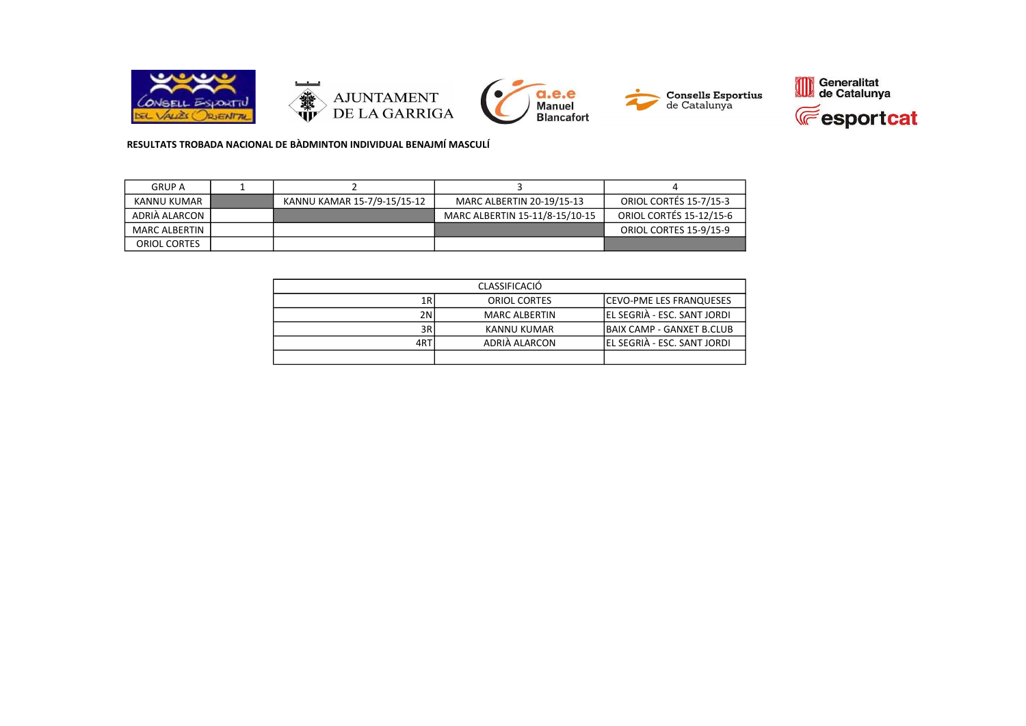

RESULTATS TROBADA NACIONAL DE BÀDMINTON INDIVIDUAL BENAJMÍ MASCULÍ

| <b>GRUP A</b>        |                             |                                |                                |
|----------------------|-----------------------------|--------------------------------|--------------------------------|
| KANNU KUMAR          | KANNU KAMAR 15-7/9-15/15-12 | MARC ALBERTIN 20-19/15-13      | <b>ORIOL CORTÉS 15-7/15-3</b>  |
| ADRIÀ ALARCON        |                             | MARC ALBERTIN 15-11/8-15/10-15 | <b>ORIOL CORTÉS 15-12/15-6</b> |
| <b>MARC ALBERTIN</b> |                             |                                | ORIOL CORTES 15-9/15-9         |
| ORIOL CORTES         |                             |                                |                                |

| <b>CLASSIFICACIÓ</b> |                      |                              |  |  |
|----------------------|----------------------|------------------------------|--|--|
| 1R                   | <b>ORIOL CORTES</b>  | ICEVO-PME LES FRANQUESES     |  |  |
| 2N                   | <b>MARC ALBERTIN</b> | IEL SEGRIÀ - ESC. SANT JORDI |  |  |
| 3R                   | KANNU KUMAR          | IBAIX CAMP - GANXET B.CLUB   |  |  |
| 4RT                  | ADRIÀ ALARCON        | EL SEGRIÀ - ESC. SANT JORDI  |  |  |
|                      |                      |                              |  |  |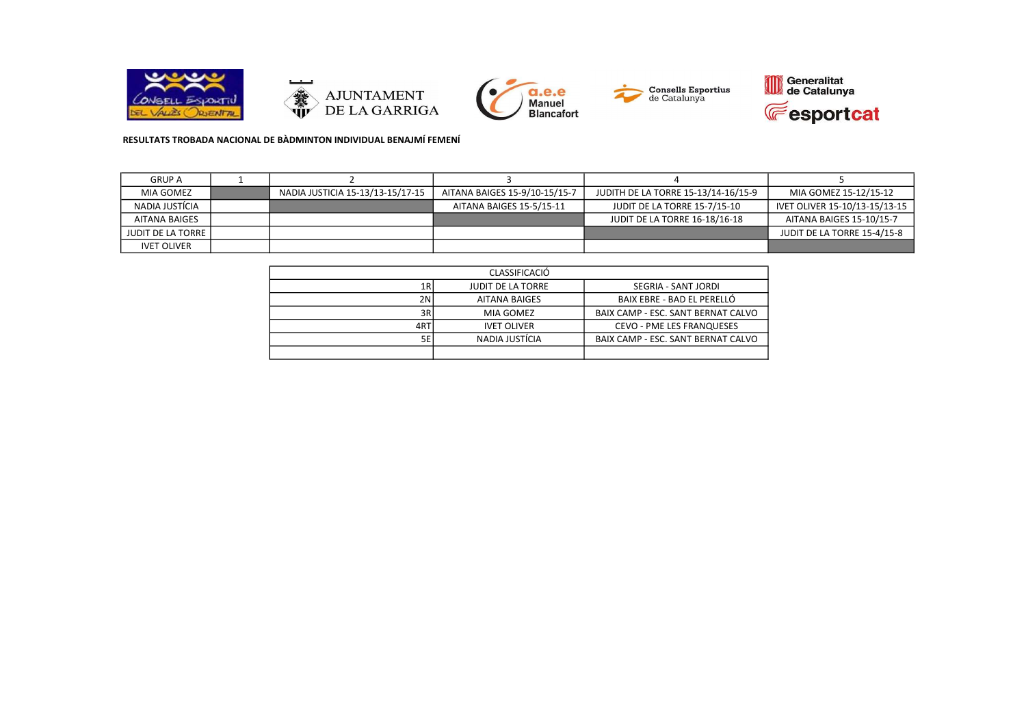









# RESULTATS TROBADA NACIONAL DE BÀDMINTON INDIVIDUAL BENAJMÍ FEMENÍ

| <b>GRUP A</b>            |                                  |                               |                                     |                               |
|--------------------------|----------------------------------|-------------------------------|-------------------------------------|-------------------------------|
| MIA GOMEZ                | NADIA JUSTICIA 15-13/13-15/17-15 | AITANA BAIGES 15-9/10-15/15-7 | JUDITH DE LA TORRE 15-13/14-16/15-9 | MIA GOMEZ 15-12/15-12         |
| NADIA JUSTÍCIA           |                                  | AITANA BAIGES 15-5/15-11      | JUDIT DE LA TORRE 15-7/15-10        | IVET OLIVER 15-10/13-15/13-15 |
| AITANA BAIGES            |                                  |                               | JUDIT DE LA TORRE 16-18/16-18       | AITANA BAIGES 15-10/15-7      |
| <b>JUDIT DE LA TORRE</b> |                                  |                               |                                     | JUDIT DE LA TORRE 15-4/15-8   |
| <b>IVET OLIVER</b>       |                                  |                               |                                     |                               |

| <b>CLASSIFICACIÓ</b> |                          |                                    |  |  |
|----------------------|--------------------------|------------------------------------|--|--|
| 1RI                  | <b>JUDIT DE LA TORRE</b> | SEGRIA - SANT JORDI                |  |  |
| 2N                   | <b>AITANA BAIGES</b>     | BAIX EBRE - BAD EL PERELLÓ         |  |  |
| 3R                   | MIA GOMEZ                | BAIX CAMP - ESC. SANT BERNAT CALVO |  |  |
| 4RT                  | <b>IVET OLIVER</b>       | <b>CEVO - PME LES FRANQUESES</b>   |  |  |
| 5EI                  | NADIA JUSTÍCIA           | BAIX CAMP - ESC. SANT BERNAT CALVO |  |  |
|                      |                          |                                    |  |  |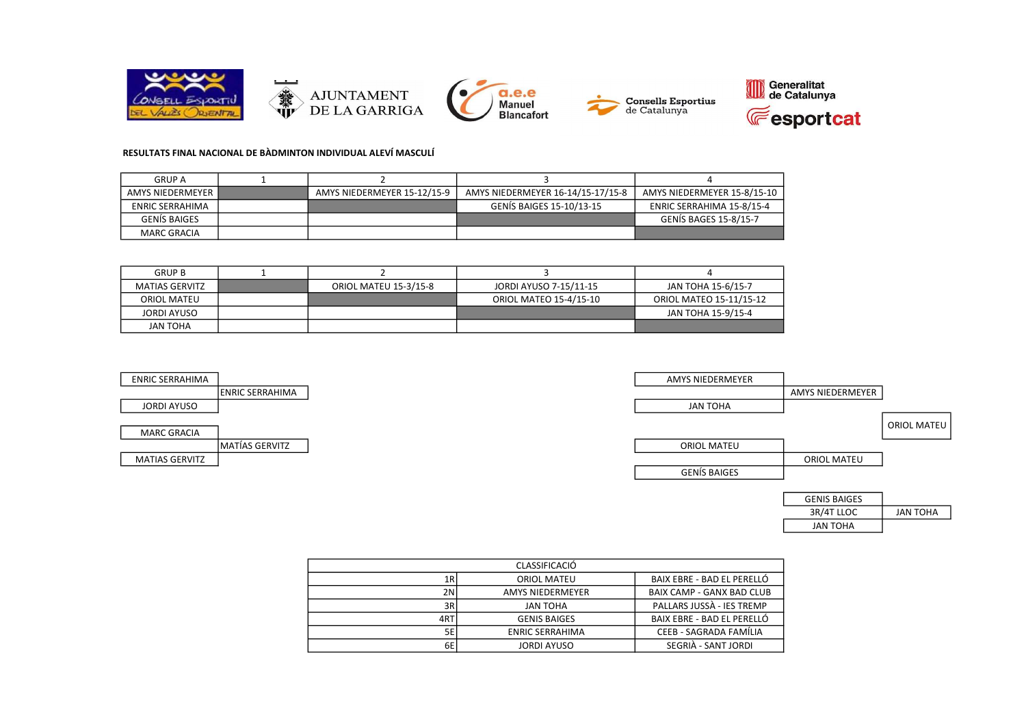

## RESULTATS FINAL NACIONAL DE BÀDMINTON INDIVIDUAL ALEVÍ MASCULÍ

MARC GRACIA

| <b>GRUP A</b>          |                             |                                   |                              |
|------------------------|-----------------------------|-----------------------------------|------------------------------|
| AMYS NIEDERMEYER       | AMYS NIEDERMEYER 15-12/15-9 | AMYS NIEDERMEYER 16-14/15-17/15-8 | AMYS NIEDERMEYER 15-8/15-10  |
| <b>ENRIC SERRAHIMA</b> |                             | GENIS BAIGES 15-10/13-15          | ENRIC SERRAHIMA 15-8/15-4    |
| <b>GENIS BAIGES</b>    |                             |                                   | <b>GENIS BAGES 15-8/15-7</b> |
| <b>MARC GRACIA</b>     |                             |                                   |                              |

| <b>GRUP B</b>         |                              |                        |                         |
|-----------------------|------------------------------|------------------------|-------------------------|
| <b>MATIAS GERVITZ</b> | <b>ORIOL MATEU 15-3/15-8</b> | JORDI AYUSO 7-15/11-15 | JAN TOHA 15-6/15-7      |
| ORIOL MATEU           |                              | ORIOL MATEO 15-4/15-10 | ORIOL MATEO 15-11/15-12 |
| JORDI AYUSO           |                              |                        | JAN TOHA 15-9/15-4      |
| <b>JAN TOHA</b>       |                              |                        |                         |



| <b>GENIS BAIGES</b> |          |
|---------------------|----------|
| 3R/4T LLOC          | JAN TOHA |
| JAN TOHA            |          |

|     | CLASSIFICACIÓ           |                                  |
|-----|-------------------------|----------------------------------|
| 1R  | <b>ORIOL MATEU</b>      | BAIX EBRE - BAD EL PERELLÓ       |
| 2N  | <b>AMYS NIEDERMEYER</b> | <b>BAIX CAMP - GANX BAD CLUB</b> |
| 3R  | JAN TOHA                | PALLARS JUSSA - IES TREMP        |
| 4RT | <b>GENIS BAIGES</b>     | BAIX EBRE - BAD EL PERELLÓ       |
| 5E  | <b>ENRIC SERRAHIMA</b>  | CEEB - SAGRADA FAMÍLIA           |
| 6E  | <b>JORDI AYUSO</b>      | SEGRIÀ - SANT JORDI              |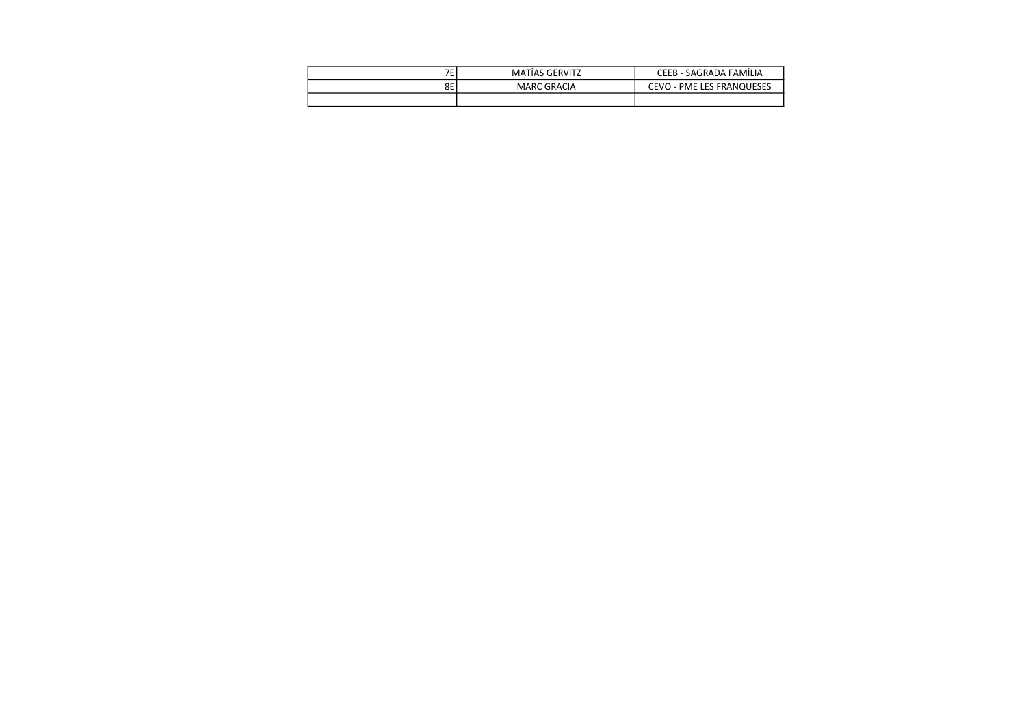| $\overline{ }$ | <b>MATIAS GERVITZ</b> | · SAGRADA FAMÍLIA<br>CEEB - .                          |
|----------------|-----------------------|--------------------------------------------------------|
| 8Ε             | MARC GRACIA           | PME LES FRANQUESES<br>CEVO<br>$\overline{\phantom{0}}$ |
|                |                       |                                                        |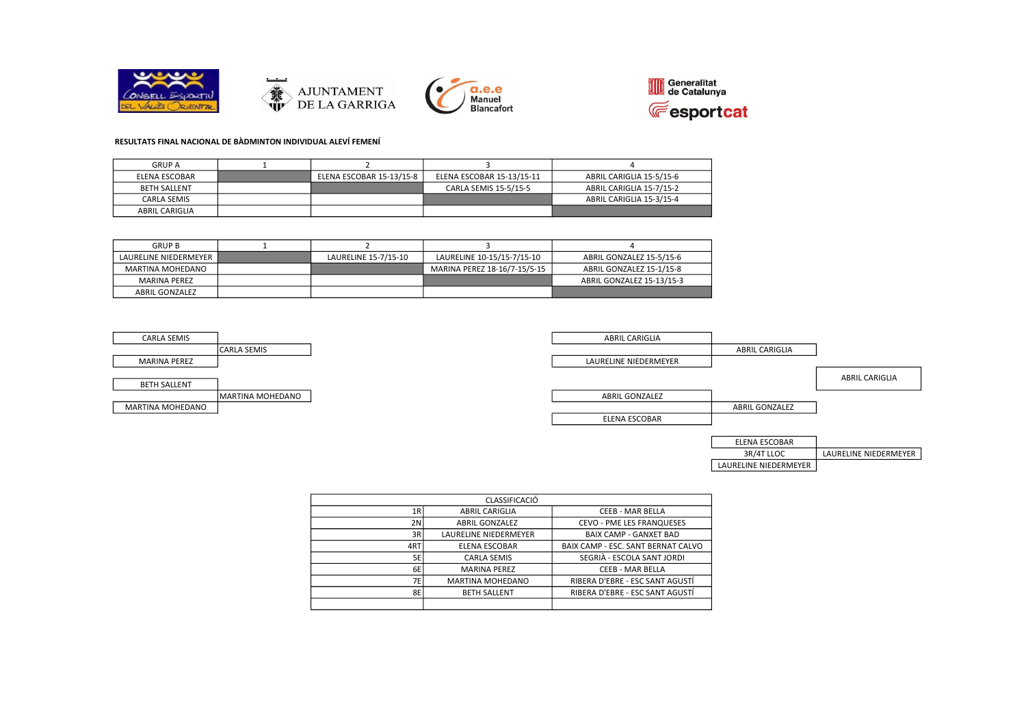







LAURELINE NIEDERMEYER

#### RESULTATS FINAL NACIONAL DE BÀDMINTON INDIVIDUAL ALEVÍ FEMENÍ

| <b>GRUP A</b>         |                          |                           |                          |
|-----------------------|--------------------------|---------------------------|--------------------------|
| ELENA ESCOBAR         | ELENA ESCOBAR 15-13/15-8 | ELENA ESCOBAR 15-13/15-11 | ABRIL CARIGLIA 15-5/15-6 |
| <b>BETH SALLENT</b>   |                          | CARLA SEMIS 15-5/15-5     | ABRIL CARIGLIA 15-7/15-2 |
| CARLA SEMIS           |                          |                           | ABRIL CARIGLIA 15-3/15-4 |
| <b>ABRIL CARIGLIA</b> |                          |                           |                          |

| <b>GRUP B</b>         |                      |                              |                           |
|-----------------------|----------------------|------------------------------|---------------------------|
| LAURELINE NIEDERMEYER | LAURELINE 15-7/15-10 | LAURELINE 10-15/15-7/15-10   | ABRIL GONZALEZ 15-5/15-6  |
| MARTINA MOHEDANO      |                      | MARINA PEREZ 18-16/7-15/5-15 | ABRIL GONZALEZ 15-1/15-8  |
| MARINA PEREZ          |                      |                              | ABRIL GONZALEZ 15-13/15-3 |
| <b>ABRIL GONZALEZ</b> |                      |                              |                           |



| CLASSIFICACIÓ |                         |                                    |  |  |
|---------------|-------------------------|------------------------------------|--|--|
| 1R            | <b>ABRIL CARIGLIA</b>   | <b>CEEB - MAR BELLA</b>            |  |  |
| 2N            | <b>ABRIL GONZALEZ</b>   | CEVO - PME LES FRANQUESES          |  |  |
| 3R            | LAURELINE NIEDERMEYER   | <b>BAIX CAMP - GANXET BAD</b>      |  |  |
| 4RT           | <b>ELENA ESCOBAR</b>    | BAIX CAMP - ESC. SANT BERNAT CALVO |  |  |
| 5E            | <b>CARLA SEMIS</b>      | SEGRIÀ - ESCOLA SANT JORDI         |  |  |
| 6E            | <b>MARINA PEREZ</b>     | CEEB - MAR BELLA                   |  |  |
| 7E            | <b>MARTINA MOHEDANO</b> | RIBERA D'EBRE - ESC SANT AGUSTÍ    |  |  |
| 8E            | <b>BETH SALLENT</b>     | RIBERA D'EBRE - ESC SANT AGUSTÍ    |  |  |
|               |                         |                                    |  |  |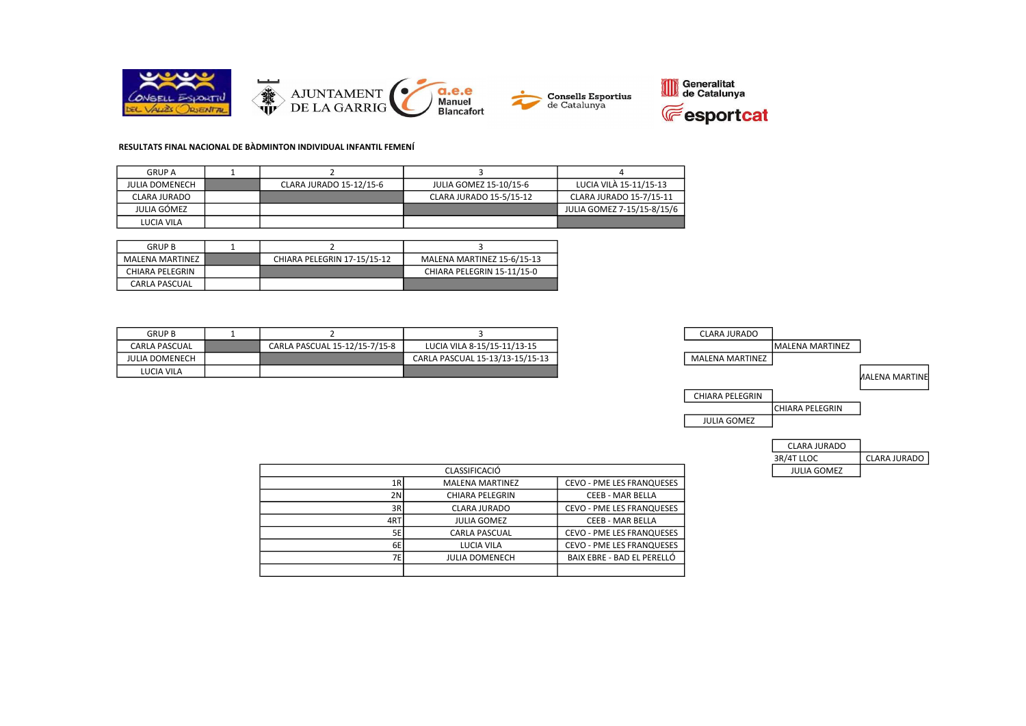

#### RESULTATS FINAL NACIONAL DE BÀDMINTON INDIVIDUAL INFANTIL FEMENÍ

| <b>GRUP A</b>  |                         |                         |                            |
|----------------|-------------------------|-------------------------|----------------------------|
| JULIA DOMENECH | CLARA JURADO 15-12/15-6 | JULIA GOMEZ 15-10/15-6  | LUCIA VILA 15-11/15-13     |
| CLARA JURADO   |                         | CLARA JURADO 15-5/15-12 | CLARA JURADO 15-7/15-11    |
| JULIA GÓMEZ    |                         |                         | JULIA GOMEZ 7-15/15-8/15/6 |
| LUCIA VILA     |                         |                         |                            |

| <b>GRUP B</b>        |                             |                            |
|----------------------|-----------------------------|----------------------------|
| MALENA MARTINEZ      | CHIARA PELEGRIN 17-15/15-12 | MALENA MARTINEZ 15-6/15-13 |
| CHIARA PELEGRIN      |                             | CHIARA PELEGRIN 15-11/15-0 |
| <b>CARLA PASCUAL</b> |                             |                            |

| <b>GRUP B</b>         |                               |                                 | <b>CLARA JURADO</b>    |
|-----------------------|-------------------------------|---------------------------------|------------------------|
| CARLA PASCUAL         | CARLA PASCUAL 15-12/15-7/15-8 | LUCIA VILA 8-15/15-11/13-15     |                        |
| <b>JULIA DOMENECH</b> |                               | CARLA PASCUAL 15-13/13-15/15-13 | <b>MALENA MARTINEZ</b> |
| LUCIA VILA            |                               |                                 |                        |



| 3R/4T LLOC  | CLARA JURADO |
|-------------|--------------|
| JULIA GOMEZ |              |

|     | <b>CLASSIFICACIÓ</b>   |                                  |
|-----|------------------------|----------------------------------|
| 1R  | <b>MALENA MARTINEZ</b> | <b>CEVO - PME LES FRANQUESES</b> |
| 2N  | <b>CHIARA PELEGRIN</b> | <b>CEEB - MAR BELLA</b>          |
| 3R  | <b>CLARA JURADO</b>    | <b>CEVO - PME LES FRANQUESES</b> |
| 4RT | <b>JULIA GOMEZ</b>     | <b>CEEB - MAR BELLA</b>          |
| 5E  | <b>CARLA PASCUAL</b>   | <b>CEVO - PME LES FRANQUESES</b> |
| 6E  | LUCIA VILA             | <b>CEVO - PME LES FRANQUESES</b> |
| 7Е  | <b>JULIA DOMENECH</b>  | BAIX EBRE - BAD EL PERELLÓ       |
|     |                        |                                  |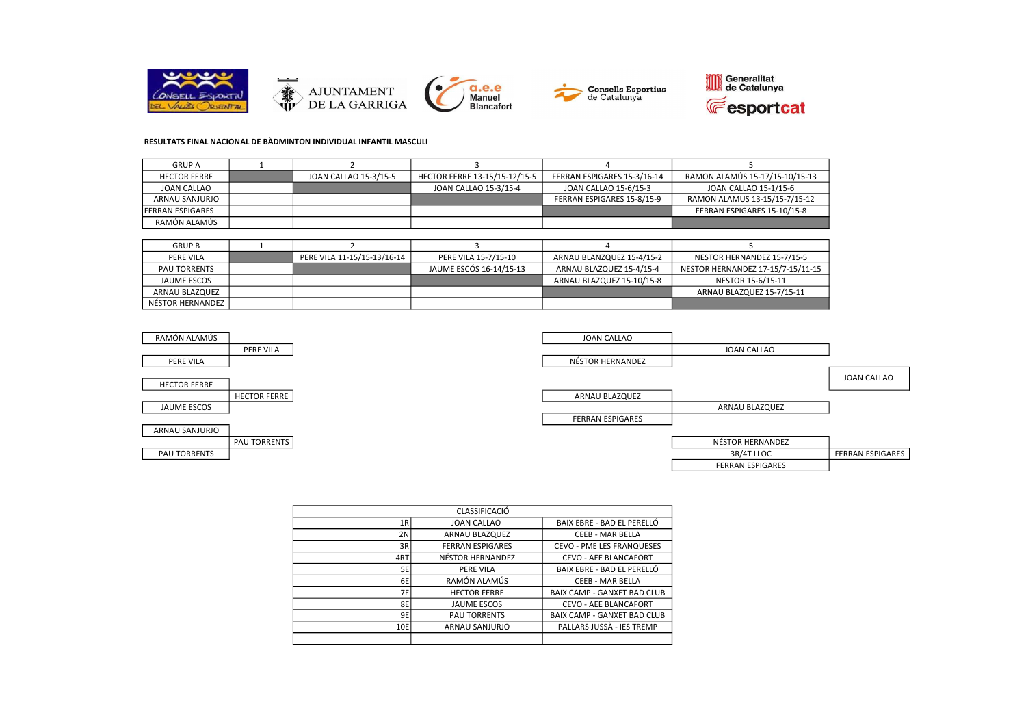





### RESULTATS FINAL NACIONAL DE BÀDMINTON INDIVIDUAL INFANTIL MASCULI

| <b>GRUP A</b>            |                       |                               |                             |                                |
|--------------------------|-----------------------|-------------------------------|-----------------------------|--------------------------------|
| <b>HECTOR FERRE</b>      | JOAN CALLAO 15-3/15-5 | HECTOR FERRE 13-15/15-12/15-5 | FERRAN ESPIGARES 15-3/16-14 | RAMON ALAMÚS 15-17/15-10/15-13 |
| JOAN CALLAO              |                       | JOAN CALLAO 15-3/15-4         | JOAN CALLAO 15-6/15-3       | JOAN CALLAO 15-1/15-6          |
| ARNAU SANJURJO           |                       |                               | FERRAN ESPIGARES 15-8/15-9  | RAMON ALAMUS 13-15/15-7/15-12  |
| <b>IFERRAN ESPIGARES</b> |                       |                               |                             | FERRAN ESPIGARES 15-10/15-8    |
| RAMÓN ALAMÚS             |                       |                               |                             |                                |

| <b>GRUP B</b>       |                             |                         |                           |                                   |
|---------------------|-----------------------------|-------------------------|---------------------------|-----------------------------------|
| PERE VILA           | PERE VILA 11-15/15-13/16-14 | PERE VILA 15-7/15-10    | ARNAU BLANZQUEZ 15-4/15-2 | NESTOR HERNANDEZ 15-7/15-5        |
| <b>PAU TORRENTS</b> |                             | JAUME ESCÓS 16-14/15-13 | ARNAU BLAZQUEZ 15-4/15-4  | NESTOR HERNANDEZ 17-15/7-15/11-15 |
| JAUME ESCOS         |                             |                         | ARNAU BLAZQUEZ 15-10/15-8 | NESTOR 15-6/15-11                 |
| ARNAU BLAZQUEZ      |                             |                         |                           | ARNAU BLAZQUEZ 15-7/15-11         |
| NÉSTOR HERNANDEZ    |                             |                         |                           |                                   |



|     | CLASSIFICACIÓ           |                                    |
|-----|-------------------------|------------------------------------|
| 1R  | <b>JOAN CALLAO</b>      | BAIX EBRE - BAD EL PERELLÓ         |
| 2N  | ARNAU BLAZQUEZ          | <b>CEEB - MAR BELLA</b>            |
| 3R  | <b>FERRAN ESPIGARES</b> | <b>CEVO - PME LES FRANQUESES</b>   |
| 4RT | NÉSTOR HERNANDEZ        | <b>CEVO - AEE BLANCAFORT</b>       |
| 5E  | <b>PERE VILA</b>        | BAIX EBRE - BAD EL PERELLÓ         |
| 6E  | RAMÓN ALAMÚS            | CEEB - MAR BELLA                   |
| 7E  | <b>HECTOR FERRE</b>     | <b>BAIX CAMP - GANXET BAD CLUB</b> |
| 8E  | <b>JAUME ESCOS</b>      | <b>CEVO - AEE BLANCAFORT</b>       |
| 9E  | <b>PAU TORRENTS</b>     | <b>BAIX CAMP - GANXET BAD CLUB</b> |
| 10E | ARNAU SANJURJO          | PALLARS JUSSA - IES TREMP          |
|     |                         |                                    |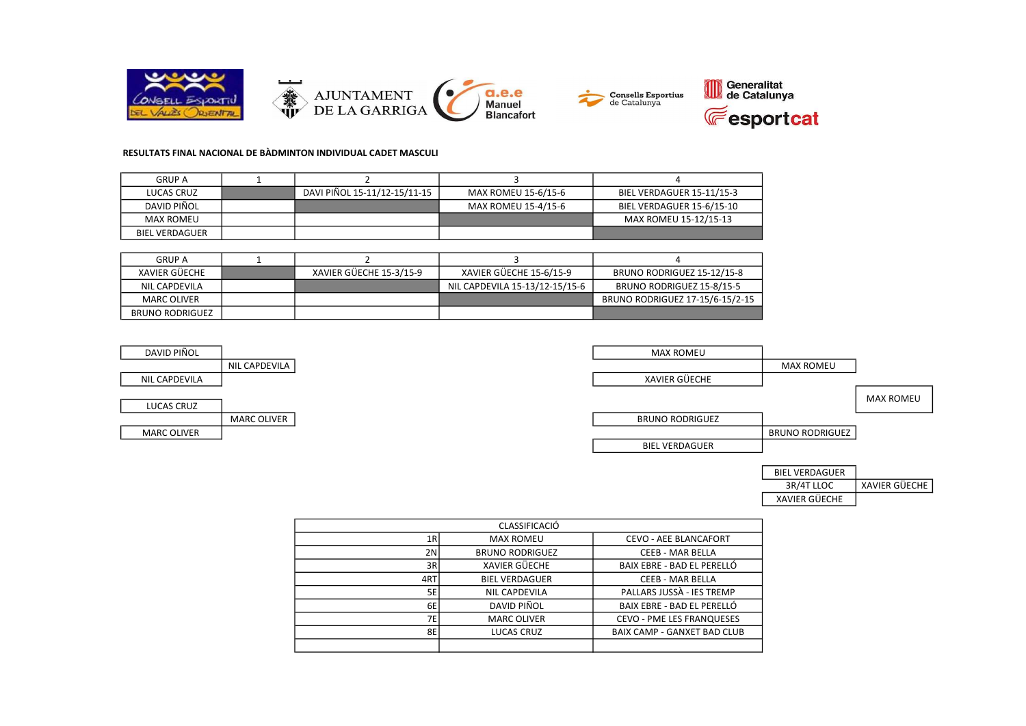

### RESULTATS FINAL NACIONAL DE BÀDMINTON INDIVIDUAL CADET MASCULI

| <b>GRUP A</b>         |                              |                     |                           |
|-----------------------|------------------------------|---------------------|---------------------------|
| LUCAS CRUZ            | DAVI PIÑOL 15-11/12-15/11-15 | MAX ROMEU 15-6/15-6 | BIEL VERDAGUER 15-11/15-3 |
| DAVID PIÑOL           |                              | MAX ROMEU 15-4/15-6 | BIEL VERDAGUER 15-6/15-10 |
| MAX ROMEU             |                              |                     | MAX ROMEU 15-12/15-13     |
| <b>BIEL VERDAGUER</b> |                              |                     |                           |

| <b>GRUP A</b>   |                         |                                |                                 |
|-----------------|-------------------------|--------------------------------|---------------------------------|
| XAVIER GÜECHE   | XAVIER GÜECHE 15-3/15-9 | XAVIER GÜECHE 15-6/15-9        | BRUNO RODRIGUEZ 15-12/15-8      |
| NIL CAPDEVILA   |                         | NIL CAPDEVILA 15-13/12-15/15-6 | BRUNO RODRIGUEZ 15-8/15-5       |
| MARC OLIVER     |                         |                                | BRUNO RODRIGUEZ 17-15/6-15/2-15 |
| BRUNO RODRIGUEZ |                         |                                |                                 |

| DAVID PIÑOL        |                    | MAX ROMEU              |                        |                  |
|--------------------|--------------------|------------------------|------------------------|------------------|
|                    | NIL CAPDEVILA      |                        | <b>MAX ROMEU</b>       |                  |
| NIL CAPDEVILA      |                    | XAVIER GÜECHE          |                        |                  |
|                    |                    |                        |                        | <b>MAX ROMEU</b> |
| LUCAS CRUZ         |                    |                        |                        |                  |
|                    | <b>MARC OLIVER</b> | <b>BRUNO RODRIGUEZ</b> |                        |                  |
| <b>MARC OLIVER</b> |                    |                        | <b>BRUNO RODRIGUEZ</b> |                  |
|                    |                    | <b>BIEL VERDAGUER</b>  |                        |                  |

| <b>BIEL VERDAGUER</b> |                      |
|-----------------------|----------------------|
| 3R/4T LLOC            | <b>XAVIER GÜECHE</b> |
| XAVIER GÜECHE         |                      |

| <b>CLASSIFICACIÓ</b> |                        |                                    |  |  |
|----------------------|------------------------|------------------------------------|--|--|
| 1R                   | <b>MAX ROMEU</b>       | <b>CEVO - AEE BLANCAFORT</b>       |  |  |
| 2N                   | <b>BRUNO RODRIGUEZ</b> | <b>CEEB - MAR BELLA</b>            |  |  |
| 3R                   | <b>XAVIER GÜECHE</b>   | BAIX EBRE - BAD EL PERELLÓ         |  |  |
| 4RT                  | <b>BIEL VERDAGUER</b>  | <b>CEEB - MAR BELLA</b>            |  |  |
| 5E                   | <b>NIL CAPDEVILA</b>   | PALLARS JUSSA - IES TREMP          |  |  |
| 6E                   | DAVID PIÑOL            | BAIX EBRE - BAD EL PERELLÓ         |  |  |
| 7E                   | <b>MARC OLIVER</b>     | <b>CEVO - PME LES FRANQUESES</b>   |  |  |
| 8E                   | LUCAS CRUZ             | <b>BAIX CAMP - GANXET BAD CLUB</b> |  |  |
|                      |                        |                                    |  |  |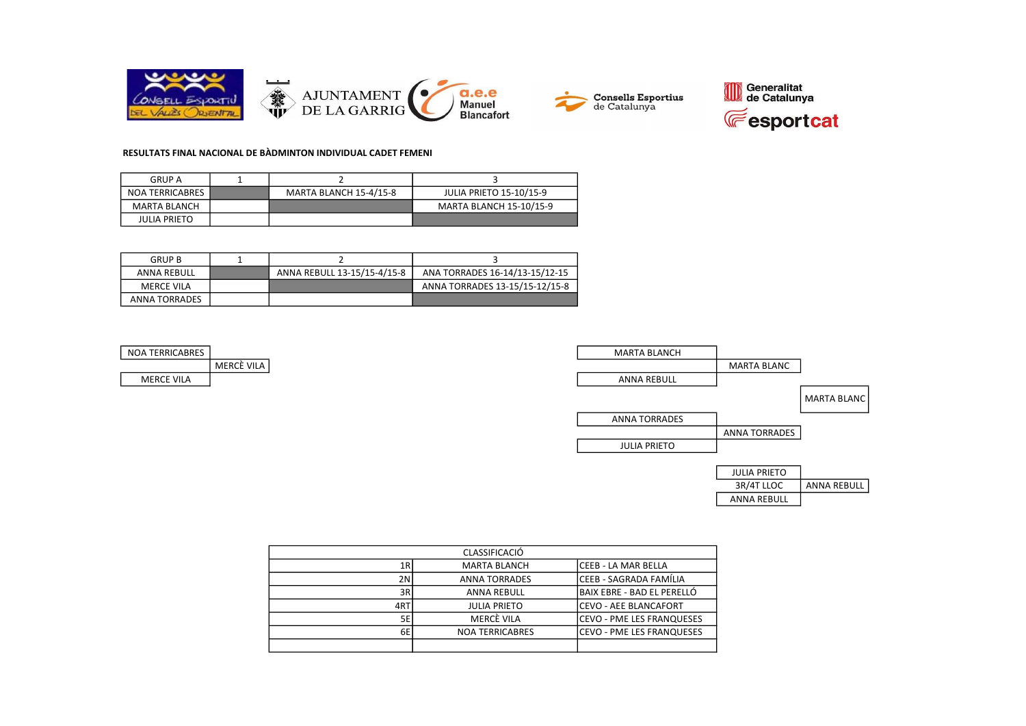





### RESULTATS FINAL NACIONAL DE BÀDMINTON INDIVIDUAL CADET FEMENI

| <b>GRUP A</b>       |                        |                                |
|---------------------|------------------------|--------------------------------|
| NOA TERRICABRES     | MARTA BLANCH 15-4/15-8 | <b>JULIA PRIETO 15-10/15-9</b> |
| MARTA BLANCH        |                        | <b>MARTA BLANCH 15-10/15-9</b> |
| <b>JULIA PRIETO</b> |                        |                                |

| GRUP B            |                             |                                |
|-------------------|-----------------------------|--------------------------------|
| ANNA REBULL       | ANNA REBULL 13-15/15-4/15-8 | ANA TORRADES 16-14/13-15/12-15 |
| <b>MERCE VILA</b> |                             | ANNA TORRADES 13-15/15-12/15-8 |
| ANNA TORRADES     |                             |                                |

| <b>NOA TERRICABRES</b> |           |
|------------------------|-----------|
|                        | MERCÈ VIL |
| MFRCF VII A            |           |



| <b>CLASSIFICACIÓ</b> |                        |                                   |  |  |
|----------------------|------------------------|-----------------------------------|--|--|
| 1R                   | <b>MARTA BLANCH</b>    | lCEEB - LA MAR BELLA              |  |  |
| 2N                   | <b>ANNA TORRADES</b>   | lCEEB - SAGRADA FAMÍLIA           |  |  |
| 3R                   | <b>ANNA REBULL</b>     | <b>BAIX EBRE - BAD EL PERELLO</b> |  |  |
| 4RT                  | <b>JULIA PRIETO</b>    | lCEVO - AEE BLANCAFORT            |  |  |
| 5E                   | MERCÈ VILA             | lCEVO - PME LES FRANQUESES        |  |  |
| 6E                   | <b>NOA TERRICABRES</b> | lCEVO - PME LES FRANQUESES        |  |  |
|                      |                        |                                   |  |  |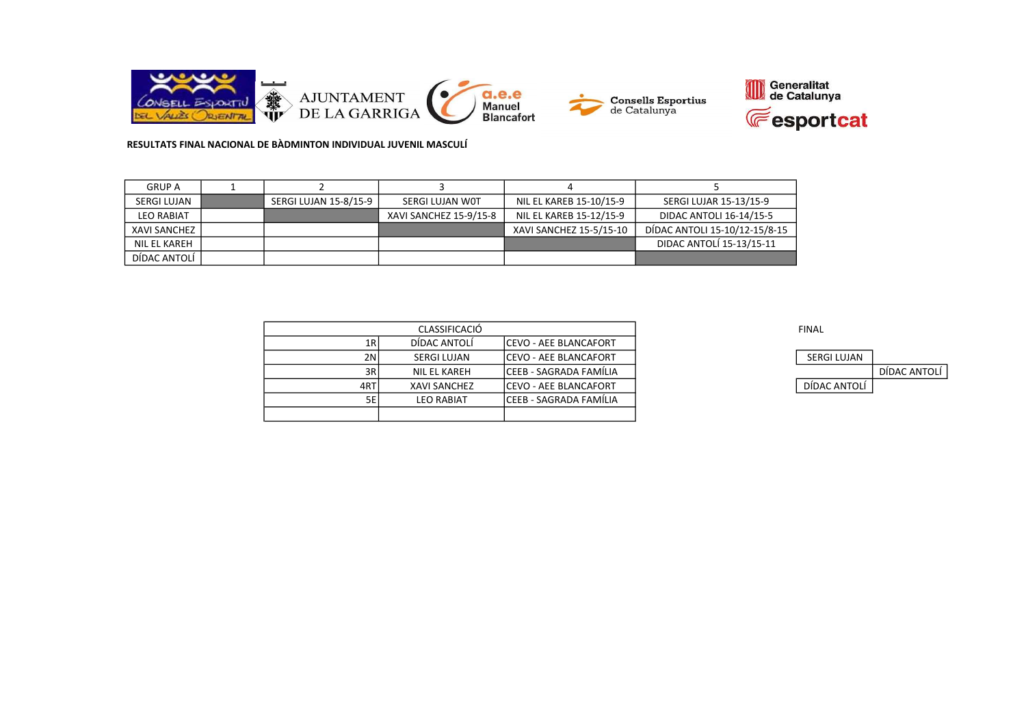



| <b>GRUP A</b>     |                       |                        |                         |                               |
|-------------------|-----------------------|------------------------|-------------------------|-------------------------------|
| SERGI LUJAN       | SERGI LUJAN 15-8/15-9 | SERGI LUJAN WOT        | NIL EL KAREB 15-10/15-9 | SERGI LUJAR 15-13/15-9        |
| <b>LEO RABIAT</b> |                       | XAVI SANCHEZ 15-9/15-8 | NIL EL KAREB 15-12/15-9 | DIDAC ANTOLI 16-14/15-5       |
| XAVI SANCHEZ      |                       |                        | XAVI SANCHEZ 15-5/15-10 | DÍDAC ANTOLI 15-10/12-15/8-15 |
| NIL EL KAREH      |                       |                        |                         | DIDAC ANTOLÍ 15-13/15-11      |
| DÍDAC ANTOLÍ      |                       |                        |                         |                               |

|      | <b>CLASSIFICACIÓ</b> |                               | <b>FINAL</b> |
|------|----------------------|-------------------------------|--------------|
| 1RI  | DÍDAC ANTOLÍ         | ICEVO - AEE BLANCAFORT        |              |
| 2NI  | SERGI LUJAN          | ICEVO - AEE BLANCAFORT        | SERGI LUJAN  |
| 3RI  | NIL EL KAREH         | ICEEB - SAGRADA FAMÍLIA       |              |
| 4RTI | <b>XAVI SANCHEZ</b>  | <b>ICEVO - AEE BLANCAFORT</b> | DÍDAC ANTOLÍ |
| 5E l | LEO RABIAT           | ICEEB - SAGRADA FAMILIA       |              |
|      |                      |                               |              |

| <b>SERGI LUJAN</b> |              |
|--------------------|--------------|
|                    | DÍDAC ANTOLÍ |
| DÍDAC ANTOLÍ       |              |